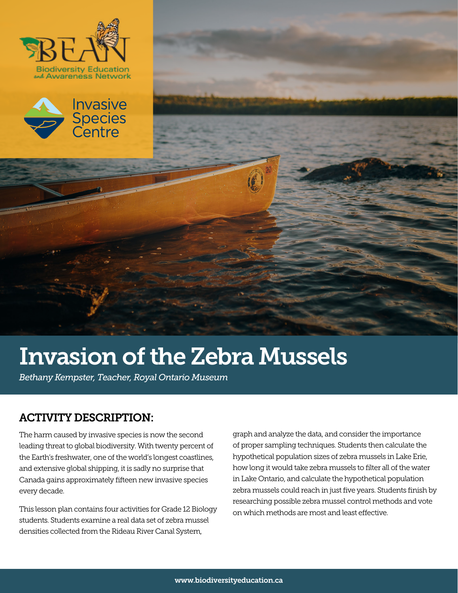





*Bethany Kempster, Teacher, Royal Ontario Museum*

### ACTIVITY DESCRIPTION:

The harm caused by invasive species is now the second leading threat to global biodiversity. With twenty percent of the Earth's freshwater, one of the world's longest coastlines, and extensive global shipping, it is sadly no surprise that Canada gains approximately fifteen new invasive species every decade.

This lesson plan contains four activities for Grade 12 Biology students. Students examine a real data set of zebra mussel densities collected from the Rideau River Canal System,

graph and analyze the data, and consider the importance of proper sampling techniques. Students then calculate the hypothetical population sizes of zebra mussels in Lake Erie, how long it would take zebra mussels to filter all of the water in Lake Ontario, and calculate the hypothetical population zebra mussels could reach in just five years. Students finish by researching possible zebra mussel control methods and vote on which methods are most and least effective.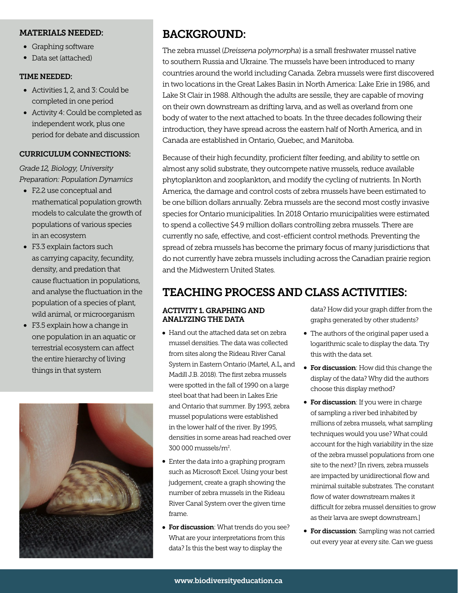#### MATERIALS NEEDED:

- Graphing software
- Data set (attached)

#### TIME NEEDED:

- Activities 1, 2, and 3: Could be completed in one period
- Activity 4: Could be completed as independent work, plus one period for debate and discussion

#### CURRICULUM CONNECTIONS:

*Grade 12, Biology, University Preparation: Population Dynamics*

- F2.2 use conceptual and mathematical population growth models to calculate the growth of populations of various species in an ecosystem
- F3.3 explain factors such as carrying capacity, fecundity, density, and predation that cause fluctuation in populations, and analyse the fluctuation in the population of a species of plant, wild animal, or microorganism
- F3.5 explain how a change in one population in an aquatic or terrestrial ecosystem can affect the entire hierarchy of living things in that system



# BACKGROUND:

The zebra mussel (*Dreissena polymorpha*) is a small freshwater mussel native to southern Russia and Ukraine. The mussels have been introduced to many countries around the world including Canada. Zebra mussels were first discovered in two locations in the Great Lakes Basin in North America: Lake Erie in 1986, and Lake St Clair in 1988. Although the adults are sessile, they are capable of moving on their own downstream as drifting larva, and as well as overland from one body of water to the next attached to boats. In the three decades following their introduction, they have spread across the eastern half of North America, and in Canada are established in Ontario, Quebec, and Manitoba.

Because of their high fecundity, proficient filter feeding, and ability to settle on almost any solid substrate, they outcompete native mussels, reduce available phytoplankton and zooplankton, and modify the cycling of nutrients. In North America, the damage and control costs of zebra mussels have been estimated to be one billion dollars annually. Zebra mussels are the second most costly invasive species for Ontario municipalities. In 2018 Ontario municipalities were estimated to spend a collective \$4.9 million dollars controlling zebra mussels. There are currently no safe, effective, and cost-efficient control methods. Preventing the spread of zebra mussels has become the primary focus of many jurisdictions that do not currently have zebra mussels including across the Canadian prairie region and the Midwestern United States.

## TEACHING PROCESS AND CLASS ACTIVITIES:

#### ACTIVITY 1. GRAPHING AND ANALYZING THE DATA

- Hand out the attached data set on zebra mussel densities. The data was collected from sites along the Rideau River Canal System in Eastern Ontario (Martel, A.L, and Madill J.B. 2018). The first zebra mussels were spotted in the fall of 1990 on a large steel boat that had been in Lakes Erie and Ontario that summer. By 1993, zebra mussel populations were established in the lower half of the river. By 1995, densities in some areas had reached over 300 000 mussels/m2 .
- Enter the data into a graphing program such as Microsoft Excel. Using your best judgement, create a graph showing the number of zebra mussels in the Rideau River Canal System over the given time frame.
- **For discussion**: What trends do you see? What are your interpretations from this data? Is this the best way to display the

data? How did your graph differ from the graphs generated by other students?

- The authors of the original paper used a logarithmic scale to display the data. Try this with the data set.
- **For discussion**: How did this change the display of the data? Why did the authors choose this display method?
- **For discussion**: If you were in charge of sampling a river bed inhabited by millions of zebra mussels, what sampling techniques would you use? What could account for the high variability in the size of the zebra mussel populations from one site to the next? [In rivers, zebra mussels are impacted by unidirectional flow and minimal suitable substrates. The constant flow of water downstream makes it difficult for zebra mussel densities to grow as their larva are swept downstream.]
- **For discussion**: Sampling was not carried out every year at every site. Can we guess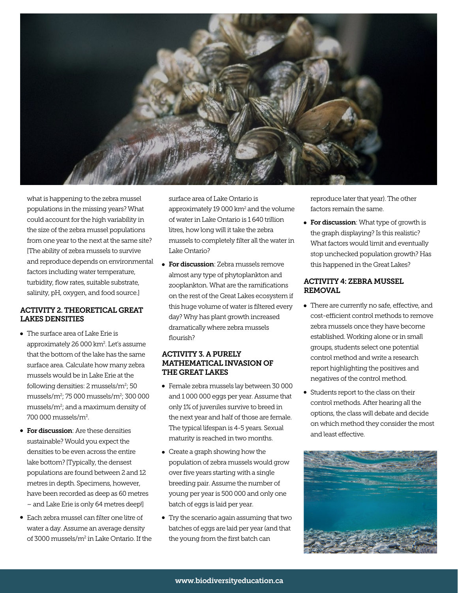

what is happening to the zebra mussel populations in the missing years? What could account for the high variability in the size of the zebra mussel populations from one year to the next at the same site? [The ability of zebra mussels to survive and reproduce depends on environmental factors including water temperature, turbidity, flow rates, suitable substrate, salinity, pH, oxygen, and food source.]

#### ACTIVITY 2. THEORETICAL GREAT LAKES DENSITIES

- The surface area of Lake Erie is approximately 26 000 km². Let's assume that the bottom of the lake has the same surface area. Calculate how many zebra mussels would be in Lake Erie at the following densities: 2 mussels/m<sup>2</sup>; 50 mussels/m2 ; 75 000 mussels/m2 ; 300 000 mussels/m2 ; and a maximum density of 700 000 mussels/m2 .
- **For discussion:** Are these densities sustainable? Would you expect the densities to be even across the entire lake bottom? [Typically, the densest populations are found between 2 and 12 metres in depth. Specimens, however, have been recorded as deep as 60 metres – and Lake Erie is only 64 metres deep!]
- Each zebra mussel can filter one litre of water a day. Assume an average density of 3000 mussels/m<sup>2</sup> in Lake Ontario. If the

surface area of Lake Ontario is approximately 19 000 km<sup>2</sup> and the volume of water in Lake Ontario is 1 640 trillion litres, how long will it take the zebra mussels to completely filter all the water in Lake Ontario?

**• For discussion**: Zebra mussels remove almost any type of phytoplankton and zooplankton. What are the ramifications on the rest of the Great Lakes ecosystem if this huge volume of water is filtered every day? Why has plant growth increased dramatically where zebra mussels flourish?

#### ACTIVITY 3. A PURELY MATHEMATICAL INVASION OF THE GREAT LAKES

- Female zebra mussels lay between 30 000 and 1 000 000 eggs per year. Assume that only 1% of juveniles survive to breed in the next year and half of those are female. The typical lifespan is 4-5 years. Sexual maturity is reached in two months.
- Create a graph showing how the population of zebra mussels would grow over five years starting with a single breeding pair. Assume the number of young per year is 500 000 and only one batch of eggs is laid per year.
- Try the scenario again assuming that two batches of eggs are laid per year (and that the young from the first batch can

reproduce later that year). The other factors remain the same.

**• For discussion**: What type of growth is the graph displaying? Is this realistic? What factors would limit and eventually stop unchecked population growth? Has this happened in the Great Lakes?

#### ACTIVITY 4: ZEBRA MUSSEL REMOVAL

- There are currently no safe, effective, and cost-efficient control methods to remove zebra mussels once they have become established. Working alone or in small groups, students select one potential control method and write a research report highlighting the positives and negatives of the control method.
- Students report to the class on their control methods. After hearing all the options, the class will debate and decide on which method they consider the most and least effective.

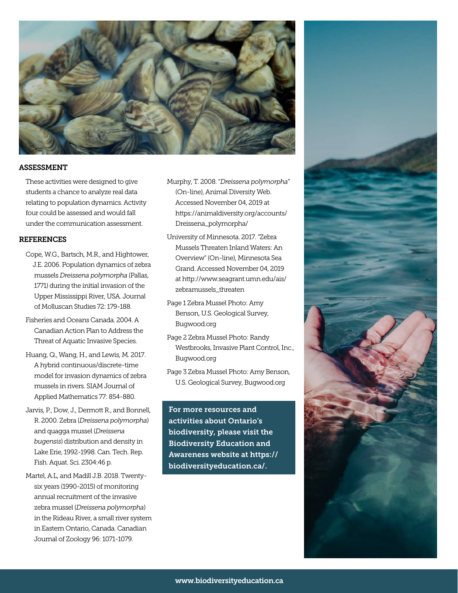

#### ASSESSMENT

These activities were designed to give students a chance to analyze real data relating to population dynamics. Activity four could be assessed and would fall under the communication assessment.

#### REFERENCES

- Cope, W.G., Bartsch, M.R., and Hightower, J.E. 2006. Population dynamics of zebra mussels *Dreissena polymorpha* (Pallas, 1771) during the initial invasion of the Upper Mississippi River, USA. Journal of Molluscan Studies 72: 179-188.
- Fisheries and Oceans Canada. 2004. A Canadian Action Plan to Address the Threat of Aquatic Invasive Species.
- Huang, Q., Wang, H., and Lewis, M. 2017. A hybrid continuous/discrete-time model for invasion dynamics of zebra mussels in rivers. SIAM Journal of Applied Mathematics 77: 854-880.
- Jarvis, P., Dow, J., Dermott R., and Bonnell, R. 2000. Zebra (*Dreissena polymorpha*) and quagga mussel (*Dreissena bugensis*) distribution and density in Lake Erie, 1992-1998. Can. Tech. Rep. Fish. Aquat. Sci. 2304:46 p.
- Martel, A.L, and Madill J.B. 2018. Twenty six years (1990-2015) of monitoring annual recruitment of the invasive zebra mussel (*Dreissena polymorpha*) in the Rideau River, a small river system in Eastern Ontario, Canada. Canadian Journal of Zoology 96: 1071-1079.
- Murphy, T. 2008. "*Dreissena polymorpha*" (On-line), Animal Diversity Web. Accessed November 04, 2019 at https://animaldiversity.org/accounts/ Dreissena\_polymorpha/
- University of Minnesota. 2017. "Zebra Mussels Threaten Inland Waters: An Overview" (On-line), Minnesota Sea Grand. Accessed November 04, 2019 at http://www.seagrant.umn.edu/ais/ zebramussels\_threaten
- Page 1 Zebra Mussel Photo: Amy Benson, U.S. Geological Survey, Bugwood.org
- Page 2 Zebra Mussel Photo: Randy Westbrooks, Invasive Plant Control, Inc., Bugwood.org
- Page 3 Zebra Mussel Photo: Amy Benson, U.S. Geological Survey, Bugwood.org

For more resources and activities about Ontario's biodiversity, please visit the Biodiversity Education and Awareness website at https:// biodiversityeducation.ca/.